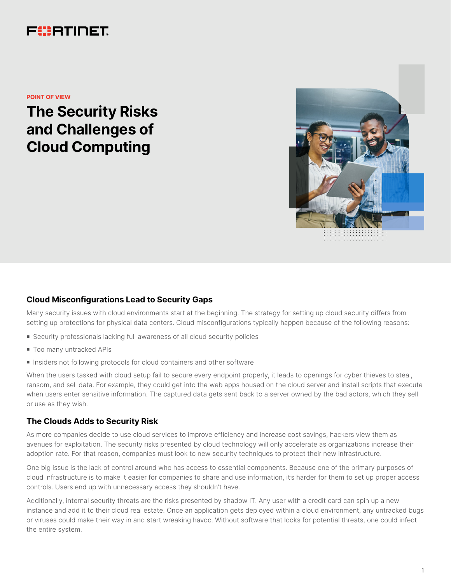# FURTINET

**POINT OF VIEW**

**The Security Risks and Challenges of Cloud Computing**



# **Cloud Misconfigurations Lead to Security Gaps**

Many security issues with cloud environments start at the beginning. The strategy for setting up cloud security differs from setting up protections for physical data centers. Cloud misconfigurations typically happen because of the following reasons:

- Security professionals lacking full awareness of all cloud security policies
- $\blacksquare$  Too many untracked APIs
- **n** Insiders not following protocols for cloud containers and other software

When the users tasked with cloud setup fail to secure every endpoint properly, it leads to openings for cyber thieves to steal, ransom, and sell data. For example, they could get into the web apps housed on the cloud server and install scripts that execute when users enter sensitive information. The captured data gets sent back to a server owned by the bad actors, which they sell or use as they wish.

# **The Clouds Adds to Security Risk**

As more companies decide to use cloud services to improve efficiency and increase cost savings, hackers view them as avenues for exploitation. The security risks presented by cloud technology will only accelerate as organizations increase their adoption rate. For that reason, companies must look to new security techniques to protect their new infrastructure.

One big issue is the lack of control around who has access to essential components. Because one of the primary purposes of cloud infrastructure is to make it easier for companies to share and use information, it's harder for them to set up proper access controls. Users end up with unnecessary access they shouldn't have.

Additionally, internal security threats are the risks presented by shadow IT. Any user with a credit card can spin up a new instance and add it to their cloud real estate. Once an application gets deployed within a cloud environment, any untracked bugs or viruses could make their way in and start wreaking havoc. Without software that looks for potential threats, one could infect the entire system.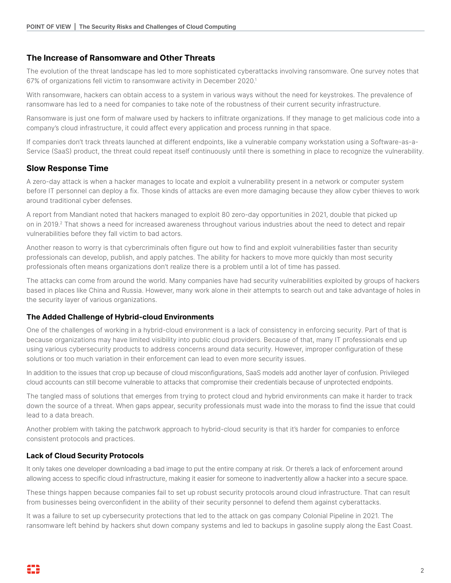# **The Increase of Ransomware and Other Threats**

The evolution of the threat landscape has led to more sophisticated cyberattacks involving ransomware. One survey notes that 67% of organizations fell victim to ransomware activity in December 2020.1

With ransomware, hackers can obtain access to a system in various ways without the need for keystrokes. The prevalence of ransomware has led to a need for companies to take note of the robustness of their current security infrastructure.

Ransomware is just one form of malware used by hackers to infiltrate organizations. If they manage to get malicious code into a company's cloud infrastructure, it could affect every application and process running in that space.

If companies don't track threats launched at different endpoints, like a vulnerable company workstation using a Software-as-a-Service (SaaS) product, the threat could repeat itself continuously until there is something in place to recognize the vulnerability.

## **Slow Response Time**

A zero-day attack is when a hacker manages to locate and exploit a vulnerability present in a network or computer system before IT personnel can deploy a fix. Those kinds of attacks are even more damaging because they allow cyber thieves to work around traditional cyber defenses.

A report from Mandiant noted that hackers managed to exploit 80 zero-day opportunities in 2021, double that picked up on in 2019.2 That shows a need for increased awareness throughout various industries about the need to detect and repair vulnerabilities before they fall victim to bad actors.

Another reason to worry is that cybercriminals often figure out how to find and exploit vulnerabilities faster than security professionals can develop, publish, and apply patches. The ability for hackers to move more quickly than most security professionals often means organizations don't realize there is a problem until a lot of time has passed.

The attacks can come from around the world. Many companies have had security vulnerabilities exploited by groups of hackers based in places like China and Russia. However, many work alone in their attempts to search out and take advantage of holes in the security layer of various organizations.

## **The Added Challenge of Hybrid-cloud Environments**

One of the challenges of working in a hybrid-cloud environment is a lack of consistency in enforcing security. Part of that is because organizations may have limited visibility into public cloud providers. Because of that, many IT professionals end up using various cybersecurity products to address concerns around data security. However, improper configuration of these solutions or too much variation in their enforcement can lead to even more security issues.

In addition to the issues that crop up because of cloud misconfigurations, SaaS models add another layer of confusion. Privileged cloud accounts can still become vulnerable to attacks that compromise their credentials because of unprotected endpoints.

The tangled mass of solutions that emerges from trying to protect cloud and hybrid environments can make it harder to track down the source of a threat. When gaps appear, security professionals must wade into the morass to find the issue that could lead to a data breach.

Another problem with taking the patchwork approach to hybrid-cloud security is that it's harder for companies to enforce consistent protocols and practices.

## **Lack of Cloud Security Protocols**

It only takes one developer downloading a bad image to put the entire company at risk. Or there's a lack of enforcement around allowing access to specific cloud infrastructure, making it easier for someone to inadvertently allow a hacker into a secure space.

These things happen because companies fail to set up robust security protocols around cloud infrastructure. That can result from businesses being overconfident in the ability of their security personnel to defend them against cyberattacks.

It was a failure to set up cybersecurity protections that led to the attack on gas company Colonial Pipeline in 2021. The ransomware left behind by hackers shut down company systems and led to backups in gasoline supply along the East Coast.